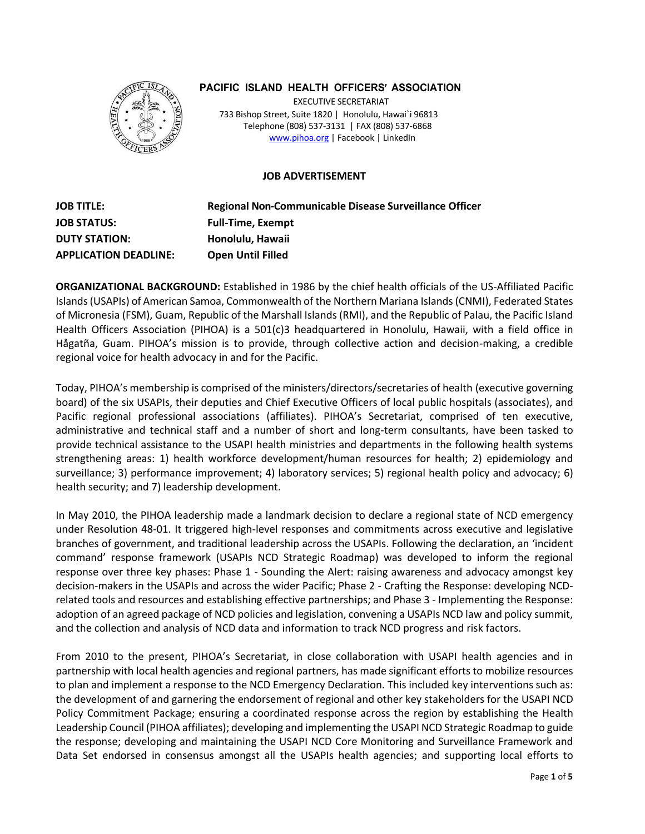

# **PACIFIC ISLAND HEALTH OFFICERS' ASSOCIATION**

EXECUTIVE SECRETARIAT 733 Bishop Street, Suite 1820 | Honolulu, Hawai`i 96813 Telephone (808) 537-3131 | FAX (808) 537-6868 www.pihoa.org | Facebook | LinkedIn

### **JOB ADVERTISEMENT**

**JOB TITLE: Regional Non-Communicable Disease Surveillance Officer JOB STATUS: Full-Time, Exempt DUTY STATION: Honolulu, Hawaii APPLICATION DEADLINE: Open Until Filled**

**ORGANIZATIONAL BACKGROUND:** Established in 1986 by the chief health officials of the US-Affiliated Pacific Islands(USAPIs) of American Samoa, Commonwealth of the Northern Mariana Islands(CNMI), Federated States of Micronesia (FSM), Guam, Republic of the Marshall Islands(RMI), and the Republic of Palau, the Pacific Island Health Officers Association (PIHOA) is a 501(c)3 headquartered in Honolulu, Hawaii, with a field office in Hågatña, Guam. PIHOA's mission is to provide, through collective action and decision-making, a credible regional voice for health advocacy in and for the Pacific.

Today, PIHOA's membership is comprised of the ministers/directors/secretaries of health (executive governing board) of the six USAPIs, their deputies and Chief Executive Officers of local public hospitals (associates), and Pacific regional professional associations (affiliates). PIHOA's Secretariat, comprised of ten executive, administrative and technical staff and a number of short and long-term consultants, have been tasked to provide technical assistance to the USAPI health ministries and departments in the following health systems strengthening areas: 1) health workforce development/human resources for health; 2) epidemiology and surveillance; 3) performance improvement; 4) laboratory services; 5) regional health policy and advocacy; 6) health security; and 7) leadership development.

In May 2010, the PIHOA leadership made a landmark decision to declare a regional state of NCD emergency under Resolution 48-01. It triggered high-level responses and commitments across executive and legislative branches of government, and traditional leadership across the USAPIs. Following the declaration, an 'incident command' response framework (USAPIs NCD Strategic Roadmap) was developed to inform the regional response over three key phases: Phase 1 - Sounding the Alert: raising awareness and advocacy amongst key decision-makers in the USAPIs and across the wider Pacific; Phase 2 - Crafting the Response: developing NCDrelated tools and resources and establishing effective partnerships; and Phase 3 - Implementing the Response: adoption of an agreed package of NCD policies and legislation, convening a USAPIs NCD law and policy summit, and the collection and analysis of NCD data and information to track NCD progress and risk factors.

From 2010 to the present, PIHOA's Secretariat, in close collaboration with USAPI health agencies and in partnership with local health agencies and regional partners, has made significant efforts to mobilize resources to plan and implement a response to the NCD Emergency Declaration. This included key interventions such as: the development of and garnering the endorsement of regional and other key stakeholders for the USAPI NCD Policy Commitment Package; ensuring a coordinated response across the region by establishing the Health Leadership Council (PIHOA affiliates); developing and implementing the USAPI NCD Strategic Roadmap to guide the response; developing and maintaining the USAPI NCD Core Monitoring and Surveillance Framework and Data Set endorsed in consensus amongst all the USAPIs health agencies; and supporting local efforts to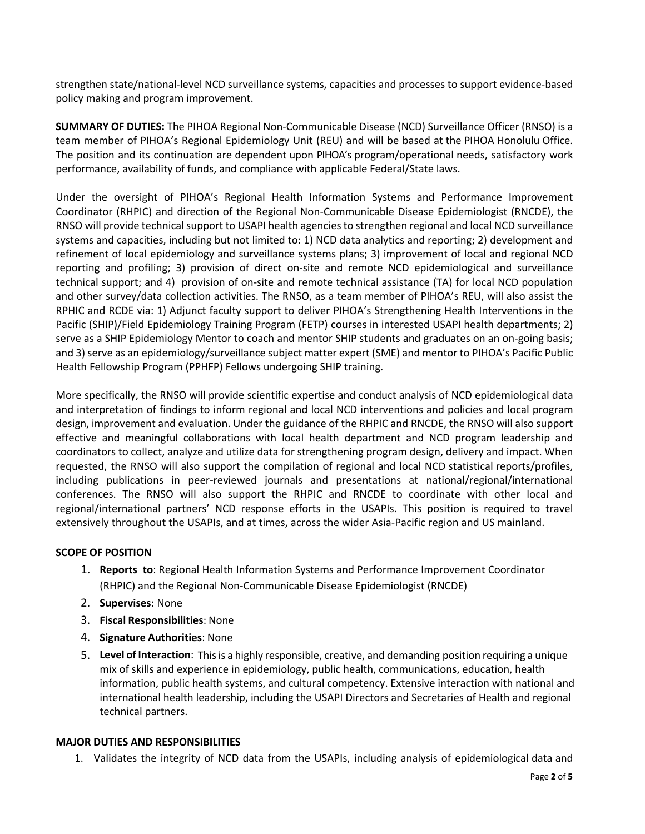strengthen state/national-level NCD surveillance systems, capacities and processes to support evidence-based policy making and program improvement.

**SUMMARY OF DUTIES:** The PIHOA Regional Non-Communicable Disease (NCD) Surveillance Officer (RNSO) is a team member of PIHOA's Regional Epidemiology Unit (REU) and will be based at the PIHOA Honolulu Office. The position and its continuation are dependent upon PIHOA's program/operational needs, satisfactory work performance, availability of funds, and compliance with applicable Federal/State laws.

Under the oversight of PIHOA's Regional Health Information Systems and Performance Improvement Coordinator (RHPIC) and direction of the Regional Non-Communicable Disease Epidemiologist (RNCDE), the RNSO will provide technical support to USAPI health agencies to strengthen regional and local NCD surveillance systems and capacities, including but not limited to: 1) NCD data analytics and reporting; 2) development and refinement of local epidemiology and surveillance systems plans; 3) improvement of local and regional NCD reporting and profiling; 3) provision of direct on-site and remote NCD epidemiological and surveillance technical support; and 4) provision of on-site and remote technical assistance (TA) for local NCD population and other survey/data collection activities. The RNSO, as a team member of PIHOA's REU, will also assist the RPHIC and RCDE via: 1) Adjunct faculty support to deliver PIHOA's Strengthening Health Interventions in the Pacific (SHIP)/Field Epidemiology Training Program (FETP) courses in interested USAPI health departments; 2) serve as a SHIP Epidemiology Mentor to coach and mentor SHIP students and graduates on an on-going basis; and 3) serve as an epidemiology/surveillance subject matter expert (SME) and mentor to PIHOA's Pacific Public Health Fellowship Program (PPHFP) Fellows undergoing SHIP training.

More specifically, the RNSO will provide scientific expertise and conduct analysis of NCD epidemiological data and interpretation of findings to inform regional and local NCD interventions and policies and local program design, improvement and evaluation. Under the guidance of the RHPIC and RNCDE, the RNSO will also support effective and meaningful collaborations with local health department and NCD program leadership and coordinators to collect, analyze and utilize data for strengthening program design, delivery and impact. When requested, the RNSO will also support the compilation of regional and local NCD statistical reports/profiles, including publications in peer-reviewed journals and presentations at national/regional/international conferences. The RNSO will also support the RHPIC and RNCDE to coordinate with other local and regional/international partners' NCD response efforts in the USAPIs. This position is required to travel extensively throughout the USAPIs, and at times, across the wider Asia-Pacific region and US mainland.

# **SCOPE OF POSITION**

- 1. **Reports to**: Regional Health Information Systems and Performance Improvement Coordinator (RHPIC) and the Regional Non-Communicable Disease Epidemiologist (RNCDE)
- 2. **Supervises**: None
- 3. **Fiscal Responsibilities**: None
- 4. **Signature Authorities**: None
- 5. **Level of Interaction**: Thisis a highly responsible, creative, and demanding position requiring a unique mix of skills and experience in epidemiology, public health, communications, education, health information, public health systems, and cultural competency. Extensive interaction with national and international health leadership, including the USAPI Directors and Secretaries of Health and regional technical partners.

#### **MAJOR DUTIES AND RESPONSIBILITIES**

1. Validates the integrity of NCD data from the USAPIs, including analysis of epidemiological data and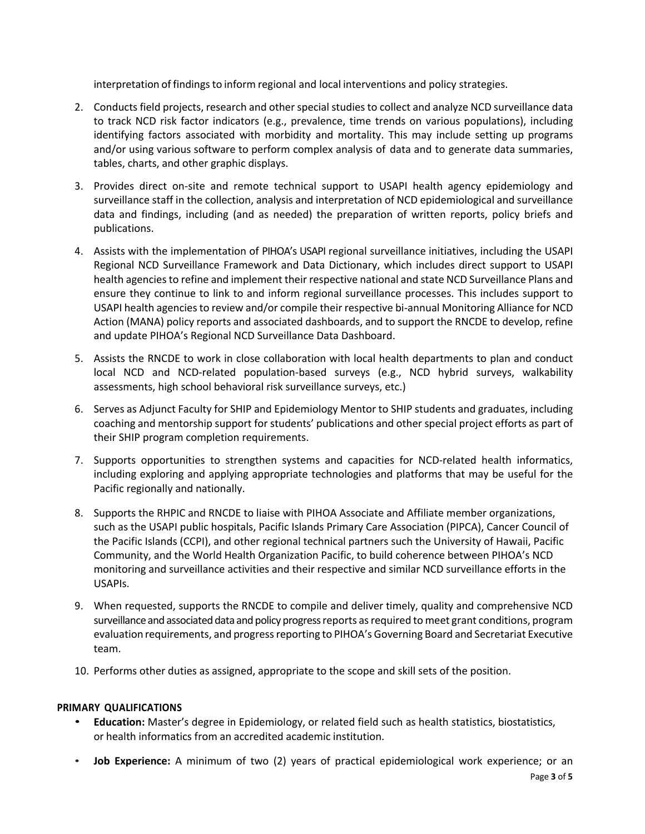interpretation of findings to inform regional and local interventions and policy strategies.

- 2. Conducts field projects, research and other special studies to collect and analyze NCD surveillance data to track NCD risk factor indicators (e.g., prevalence, time trends on various populations), including identifying factors associated with morbidity and mortality. This may include setting up programs and/or using various software to perform complex analysis of data and to generate data summaries, tables, charts, and other graphic displays.
- 3. Provides direct on-site and remote technical support to USAPI health agency epidemiology and surveillance staff in the collection, analysis and interpretation of NCD epidemiological and surveillance data and findings, including (and as needed) the preparation of written reports, policy briefs and publications.
- 4. Assists with the implementation of PIHOA's USAPI regional surveillance initiatives, including the USAPI Regional NCD Surveillance Framework and Data Dictionary, which includes direct support to USAPI health agencies to refine and implement their respective national and state NCD Surveillance Plans and ensure they continue to link to and inform regional surveillance processes. This includes support to USAPI health agencies to review and/or compile their respective bi-annual Monitoring Alliance for NCD Action (MANA) policy reports and associated dashboards, and to support the RNCDE to develop, refine and update PIHOA's Regional NCD Surveillance Data Dashboard.
- 5. Assists the RNCDE to work in close collaboration with local health departments to plan and conduct local NCD and NCD-related population-based surveys (e.g., NCD hybrid surveys, walkability assessments, high school behavioral risk surveillance surveys, etc.)
- 6. Serves as Adjunct Faculty for SHIP and Epidemiology Mentor to SHIP students and graduates, including coaching and mentorship support for students' publications and other special project efforts as part of their SHIP program completion requirements.
- 7. Supports opportunities to strengthen systems and capacities for NCD-related health informatics, including exploring and applying appropriate technologies and platforms that may be useful for the Pacific regionally and nationally.
- 8. Supports the RHPIC and RNCDE to liaise with PIHOA Associate and Affiliate member organizations, such as the USAPI public hospitals, Pacific Islands Primary Care Association (PIPCA), Cancer Council of the Pacific Islands (CCPI), and other regional technical partners such the University of Hawaii, Pacific Community, and the World Health Organization Pacific, to build coherence between PIHOA's NCD monitoring and surveillance activities and their respective and similar NCD surveillance efforts in the USAPIs.
- 9. When requested, supports the RNCDE to compile and deliver timely, quality and comprehensive NCD surveillance and associated data and policy progress reports as required to meet grant conditions, program evaluation requirements, and progress reporting to PIHOA's Governing Board and Secretariat Executive team.
- 10. Performs other duties as assigned, appropriate to the scope and skill sets of the position.

# **PRIMARY QUALIFICATIONS**

- **Education:** Master's degree in Epidemiology, or related field such as health statistics, biostatistics, or health informatics from an accredited academic institution.
- **Job Experience:** A minimum of two (2) years of practical epidemiological work experience; or an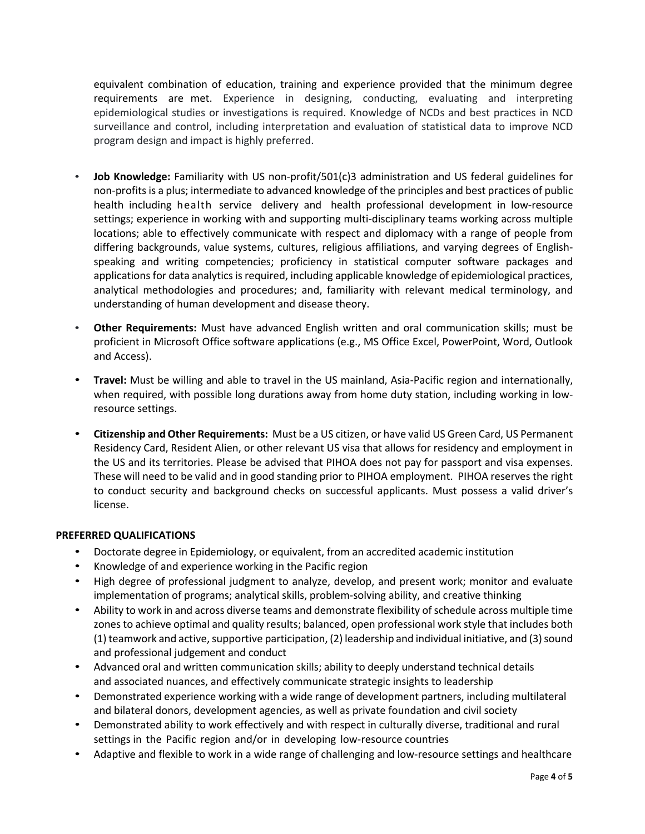equivalent combination of education, training and experience provided that the minimum degree requirements are met. Experience in designing, conducting, evaluating and interpreting epidemiological studies or investigations is required. Knowledge of NCDs and best practices in NCD surveillance and control, including interpretation and evaluation of statistical data to improve NCD program design and impact is highly preferred.

- **Job Knowledge:** Familiarity with US non-profit/501(c)3 administration and US federal guidelines for non-profits is a plus; intermediate to advanced knowledge of the principles and best practices of public health including health service delivery and health professional development in low-resource settings; experience in working with and supporting multi-disciplinary teams working across multiple locations; able to effectively communicate with respect and diplomacy with a range of people from differing backgrounds, value systems, cultures, religious affiliations, and varying degrees of Englishspeaking and writing competencies; proficiency in statistical computer software packages and applications for data analytics is required, including applicable knowledge of epidemiological practices, analytical methodologies and procedures; and, familiarity with relevant medical terminology, and understanding of human development and disease theory.
- **Other Requirements:** Must have advanced English written and oral communication skills; must be proficient in Microsoft Office software applications (e.g., MS Office Excel, PowerPoint, Word, Outlook and Access).
- **Travel:** Must be willing and able to travel in the US mainland, Asia-Pacific region and internationally, when required, with possible long durations away from home duty station, including working in lowresource settings.
- **Citizenship and Other Requirements:** Must be a US citizen, or have valid US Green Card, US Permanent Residency Card, Resident Alien, or other relevant US visa that allows for residency and employment in the US and its territories. Please be advised that PIHOA does not pay for passport and visa expenses. These will need to be valid and in good standing prior to PIHOA employment. PIHOA reserves the right to conduct security and background checks on successful applicants. Must possess a valid driver's license.

# **PREFERRED QUALIFICATIONS**

- Doctorate degree in Epidemiology, or equivalent, from an accredited academic institution
- Knowledge of and experience working in the Pacific region
- High degree of professional judgment to analyze, develop, and present work; monitor and evaluate implementation of programs; analytical skills, problem-solving ability, and creative thinking
- Ability to work in and across diverse teams and demonstrate flexibility of schedule across multiple time zonesto achieve optimal and quality results; balanced, open professional work style that includes both (1) teamwork and active, supportive participation, (2) leadership and individual initiative, and (3) sound and professional judgement and conduct
- Advanced oral and written communication skills; ability to deeply understand technical details and associated nuances, and effectively communicate strategic insights to leadership
- Demonstrated experience working with a wide range of development partners, including multilateral and bilateral donors, development agencies, as well as private foundation and civil society
- Demonstrated ability to work effectively and with respect in culturally diverse, traditional and rural settings in the Pacific region and/or in developing low-resource countries
- Adaptive and flexible to work in a wide range of challenging and low-resource settings and healthcare